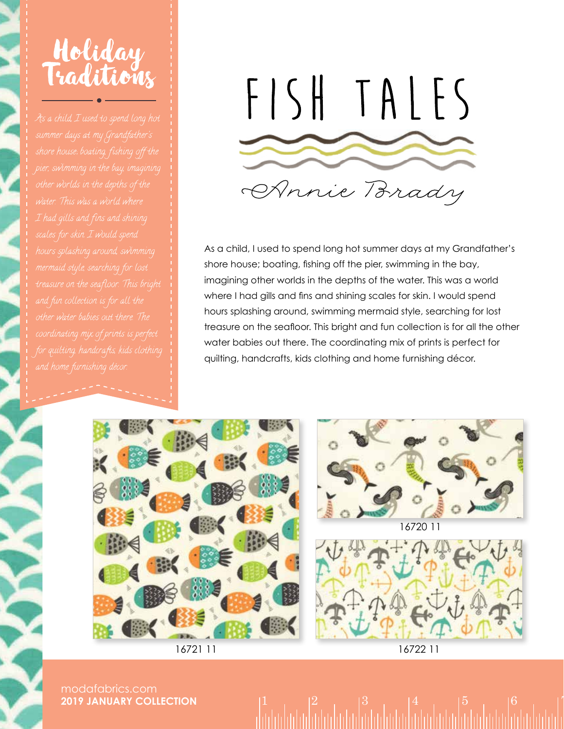



As a child, I used to spend long hot summer days at my Grandfather's shore house; boating, fishing off the pier, swimming in the bay, imagining other worlds in the depths of the water. This was a world where I had gills and fins and shining scales for skin. I would spend hours splashing around, swimming mermaid style, searching for lost treasure on the seafloor. This bright and fun collection is for all the other water babies out there. The coordinating mix of prints is perfect for quilting, handcrafts, kids clothing and home furnishing décor.





modafabrics.com **2019 JANUARY COLLECTION**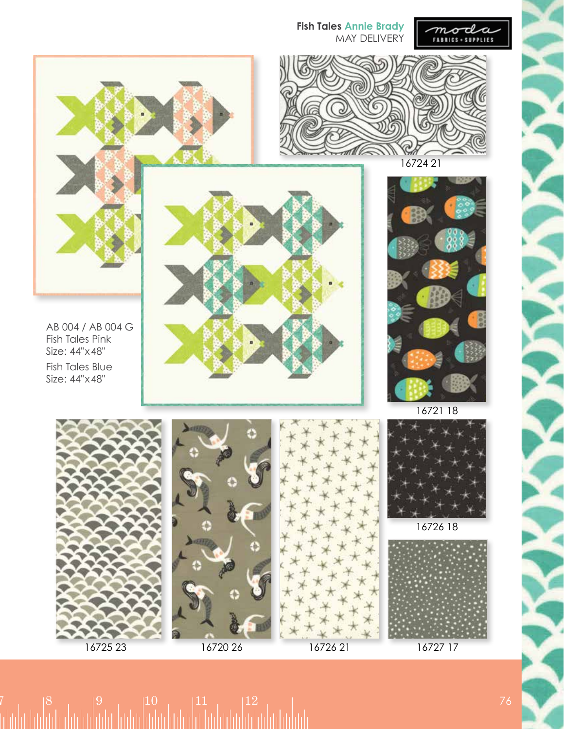

16725 23 16720 26

16726 21

16727 17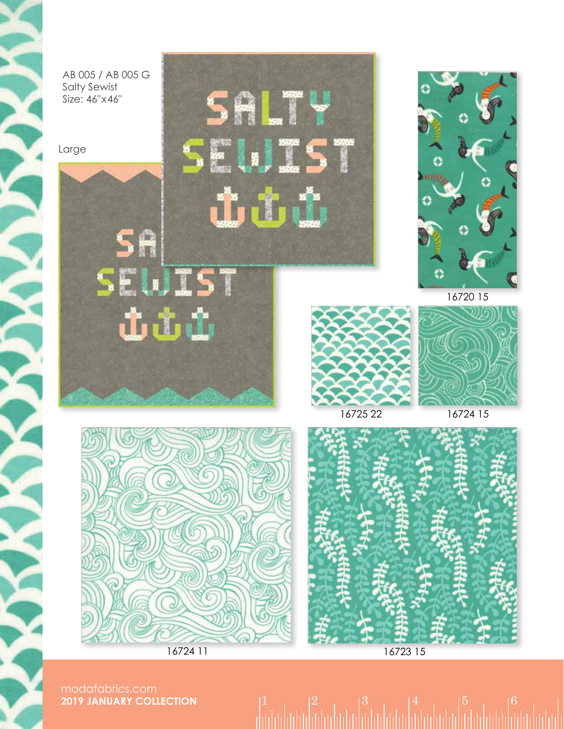

modafabrics.com **2019 JANUARY COLLECTION**